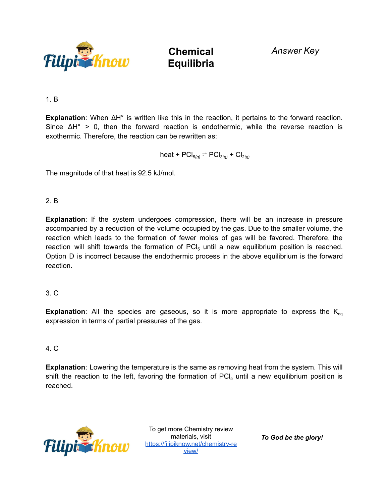

**Chemical Equilibria**

*Answer Key*

1. B

**Explanation**: When ΔH° is written like this in the reaction, it pertains to the forward reaction. Since  $\Delta H^{\circ} > 0$ , then the forward reaction is endothermic, while the reverse reaction is exothermic. Therefore, the reaction can be rewritten as:

heat +  $\text{PCI}_{5}(q) \rightleftharpoons \text{PCI}_{3}(q) + \text{Cl}_{2}(q)$ 

The magnitude of that heat is 92.5 kJ/mol.

## 2. B

**Explanation**: If the system undergoes compression, there will be an increase in pressure accompanied by a reduction of the volume occupied by the gas. Due to the smaller volume, the reaction which leads to the formation of fewer moles of gas will be favored. Therefore, the reaction will shift towards the formation of  $\text{PCI}_5$  until a new equilibrium position is reached. Option D is incorrect because the endothermic process in the above equilibrium is the forward reaction.

## 3. C

**Explanation**: All the species are gaseous, so it is more appropriate to express the  $K_{eq}$ expression in terms of partial pressures of the gas.

## 4. C

**Explanation**: Lowering the temperature is the same as removing heat from the system. This will shift the reaction to the left, favoring the formation of  $\text{PCl}_5$  until a new equilibrium position is reached.



To get more Chemistry review materials, visit [https://filipiknow.net/chemistry-re](https://filipiknow.net/chemistry-review/) [view/](https://filipiknow.net/chemistry-review/)

*To God be the glory!*